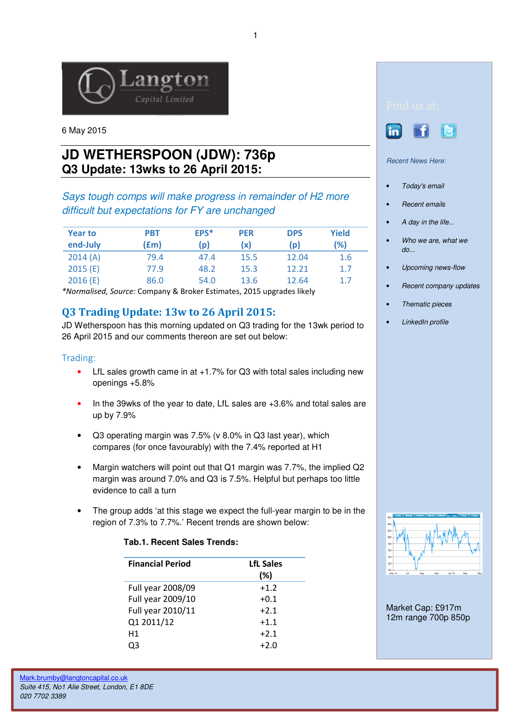

6 May 2015

# **JD WETHERSPOON (JDW): 736p Q3 Update: 13wks to 26 April 2015:**

### Says tough comps will make progress in remainder of H2 more difficult but expectations for FY are unchanged

| <b>Year to</b><br>end-July | <b>PBT</b><br>(£m) | EPS*<br>(p) | <b>PER</b><br>(x | <b>DPS</b><br>(p) | Yield<br>(%) |
|----------------------------|--------------------|-------------|------------------|-------------------|--------------|
| 2014(A)                    | 79.4               | 47.4        | 15.5             | 12.04             | 1.6          |
| 2015(E)                    | 77.9               | 48.2        | 15.3             | 12.21             | 1.7          |
| 2016(E)                    | 86.0               | 54.0        | 13.6             | 12.64             | 1.7          |

\*Normalised, Source: Company & Broker Estimates, 2015 upgrades likely

## Q3 Trading Update: 13w to 26 April 2015:

JD Wetherspoon has this morning updated on Q3 trading for the 13wk period to 26 April 2015 and our comments thereon are set out below:

### Trading:

- LfL sales growth came in at +1.7% for Q3 with total sales including new openings +5.8%
- In the 39wks of the year to date, LfL sales are +3.6% and total sales are up by 7.9%
- Q3 operating margin was 7.5% (v 8.0% in Q3 last year), which compares (for once favourably) with the 7.4% reported at H1
- Margin watchers will point out that Q1 margin was 7.7%, the implied Q2 margin was around 7.0% and Q3 is 7.5%. Helpful but perhaps too little evidence to call a turn
- The group adds 'at this stage we expect the full-year margin to be in the region of 7.3% to 7.7%.' Recent trends are shown below:

#### **Tab.1. Recent Sales Trends:**

| <b>Financial Period</b> | <b>LfL Sales</b><br>(%) |
|-------------------------|-------------------------|
| Full year 2008/09       | $+1.2$                  |
| Full year 2009/10       | $+0.1$                  |
| Full year 2010/11       | $+2.1$                  |
| Q1 2011/12              | $+1.1$                  |
| Н1                      | $+2.1$                  |
| רך                      | +2.0                    |



Ļ

**in** 

### Recent News Here:

- Today's email
- **Recent emails**
- A day in the life...
- Who we are, what we  $d\rho$ ...
- Upcoming news-flow
- Recent company updates
- Thematic pieces
- LinkedIn profile



Market Cap: £917m 12m range 700p 850p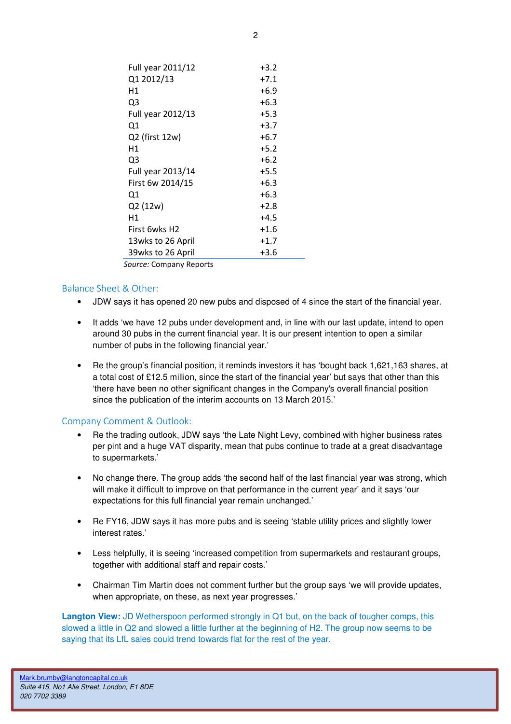| Full year 2011/12 | $+3.2$ |
|-------------------|--------|
| Q1 2012/13        | $+7.1$ |
| Η1                | $+6.9$ |
| Q3                | $+6.3$ |
| Full year 2012/13 | $+5.3$ |
| Q1                | $+3.7$ |
| Q2 (first 12w)    | $+6.7$ |
| Η1                | $+5.2$ |
| Q3                | $+6.2$ |
| Full year 2013/14 | $+5.5$ |
| First 6w 2014/15  | $+6.3$ |
| Q1                | $+6.3$ |
| Q2 (12w)          | $+2.8$ |
| Η1                | $+4.5$ |
| First 6wks H2     | $+1.6$ |
| 13wks to 26 April | $+1.7$ |
| 39wks to 26 April | $+3.6$ |

Source: Company Reports

#### Balance Sheet & Other:

- JDW says it has opened 20 new pubs and disposed of 4 since the start of the financial year.
- It adds 'we have 12 pubs under development and, in line with our last update, intend to open around 30 pubs in the current financial year. It is our present intention to open a similar number of pubs in the following financial year.'
- Re the group's financial position, it reminds investors it has 'bought back 1,621,163 shares, at a total cost of £12.5 million, since the start of the financial year' but says that other than this 'there have been no other significant changes in the Company's overall financial position since the publication of the interim accounts on 13 March 2015.'

#### Company Comment & Outlook:

- Re the trading outlook, JDW says 'the Late Night Levy, combined with higher business rates per pint and a huge VAT disparity, mean that pubs continue to trade at a great disadvantage to supermarkets.'
- No change there. The group adds 'the second half of the last financial year was strong, which will make it difficult to improve on that performance in the current year' and it says 'our expectations for this full financial year remain unchanged.'
- Re FY16, JDW says it has more pubs and is seeing 'stable utility prices and slightly lower interest rates.'
- Less helpfully, it is seeing 'increased competition from supermarkets and restaurant groups, together with additional staff and repair costs.'
- Chairman Tim Martin does not comment further but the group says 'we will provide updates, when appropriate, on these, as next year progresses.'

**Langton View:** JD Wetherspoon performed strongly in Q1 but, on the back of tougher comps, this slowed a little in Q2 and slowed a little further at the beginning of H2. The group now seems to be saying that its LfL sales could trend towards flat for the rest of the year.